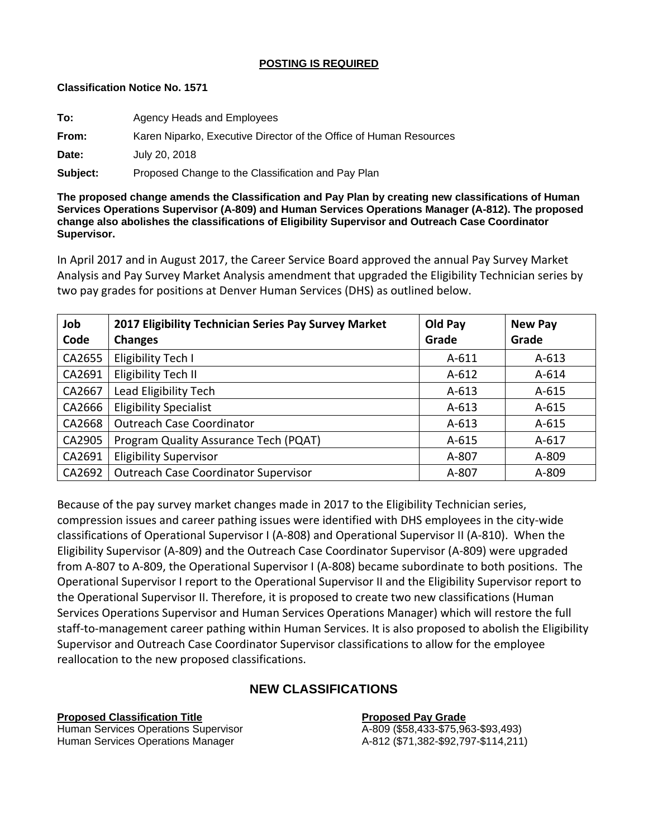## **POSTING IS REQUIRED**

## **Classification Notice No. 1571**

**To:** Agency Heads and Employees

**From:** Karen Niparko, Executive Director of the Office of Human Resources

**Date:** July 20, 2018

**Subject:** Proposed Change to the Classification and Pay Plan

**The proposed change amends the Classification and Pay Plan by creating new classifications of Human Services Operations Supervisor (A-809) and Human Services Operations Manager (A-812). The proposed change also abolishes the classifications of Eligibility Supervisor and Outreach Case Coordinator Supervisor.**

In April 2017 and in August 2017, the Career Service Board approved the annual Pay Survey Market Analysis and Pay Survey Market Analysis amendment that upgraded the Eligibility Technician series by two pay grades for positions at Denver Human Services (DHS) as outlined below.

| Job<br>Code | 2017 Eligibility Technician Series Pay Survey Market<br><b>Changes</b> | Old Pay<br>Grade | <b>New Pay</b><br>Grade |
|-------------|------------------------------------------------------------------------|------------------|-------------------------|
| CA2655      | Eligibility Tech I                                                     | $A - 611$        | $A - 613$               |
| CA2691      | Eligibility Tech II                                                    | $A-612$          | $A - 614$               |
| CA2667      | Lead Eligibility Tech                                                  | $A - 613$        | $A - 615$               |
| CA2666      | <b>Eligibility Specialist</b>                                          | $A - 613$        | $A - 615$               |
| CA2668      | <b>Outreach Case Coordinator</b>                                       | $A - 613$        | $A - 615$               |
| CA2905      | Program Quality Assurance Tech (PQAT)                                  | $A - 615$        | $A - 617$               |
| CA2691      | <b>Eligibility Supervisor</b>                                          | A-807            | A-809                   |
| CA2692      | <b>Outreach Case Coordinator Supervisor</b>                            | A-807            | A-809                   |

Because of the pay survey market changes made in 2017 to the Eligibility Technician series, compression issues and career pathing issues were identified with DHS employees in the city-wide classifications of Operational Supervisor I (A-808) and Operational Supervisor II (A-810). When the Eligibility Supervisor (A-809) and the Outreach Case Coordinator Supervisor (A-809) were upgraded from A-807 to A-809, the Operational Supervisor I (A-808) became subordinate to both positions. The Operational Supervisor I report to the Operational Supervisor II and the Eligibility Supervisor report to the Operational Supervisor II. Therefore, it is proposed to create two new classifications (Human Services Operations Supervisor and Human Services Operations Manager) which will restore the full staff-to-management career pathing within Human Services. It is also proposed to abolish the Eligibility Supervisor and Outreach Case Coordinator Supervisor classifications to allow for the employee reallocation to the new proposed classifications.

# **NEW CLASSIFICATIONS**

## **Proposed Classification Title Proposed Pay Grade**

Human Services Operations Supervisor Mateur A-809 (\$58,433-\$75,963-\$93,493) Human Services Operations Manager A-812 (\$71,382-\$92,797-\$114,211)